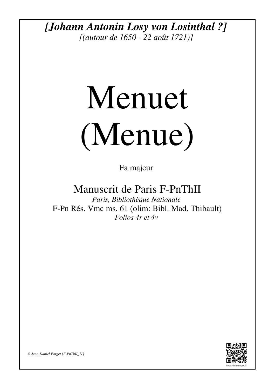*[Johann Antonin Losy von Losinthal ?]*

*[(autour de 1650 - 22 août 1721)]*

## Menuet (Menue)

Fa majeur

Manuscrit de Paris F-PnThII

*Paris, Bibliothèque Nationale* F-Pn Rés. Vmc ms. 61 (olim: Bibl. Mad. Thibault) *Folios 4r et 4v*



*© Jean-Daniel Forget [F-PnThII\_11]*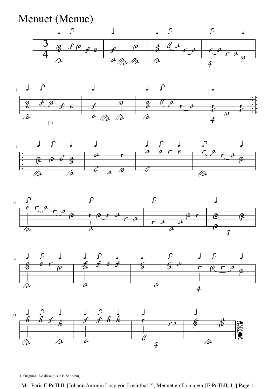











1. Original : Do dièse (e sur le 3e chœur)

Ms. Paris F-PnThII, [Johann Antonin Losy von Losinthal ?], Menuet en Fa majeur [F-PnThII\_11] Page 1